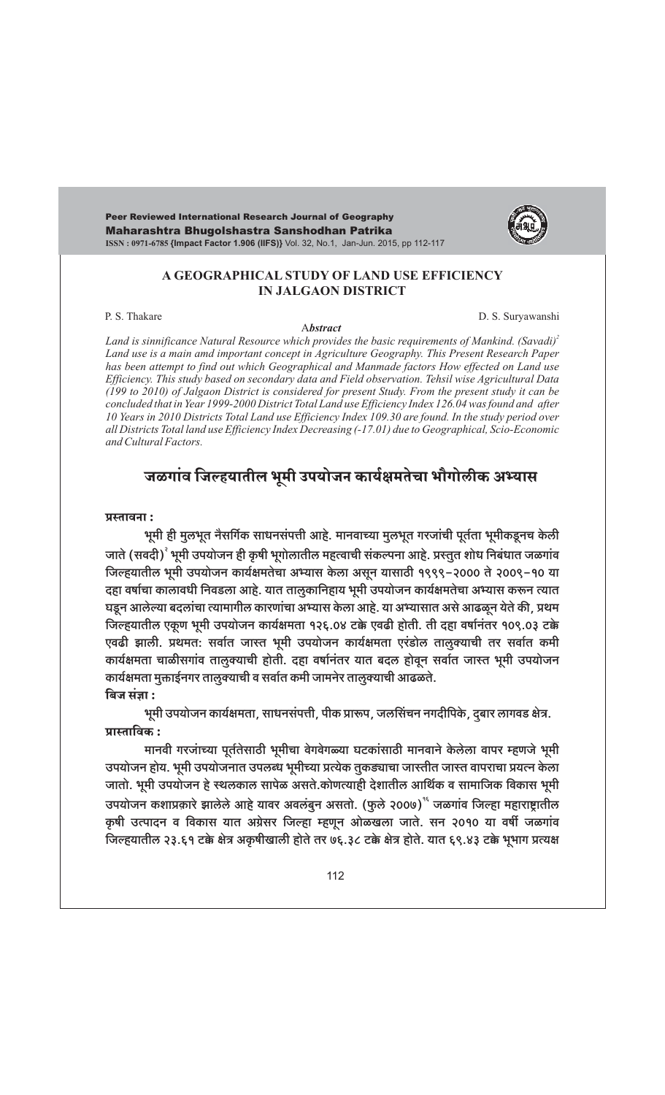Peer Reviewed International Research Journal of Geography Maharashtra Bhugolshastra Sanshodhan Patrika ISSN: 0971-6785 {Impact Factor 1.906 (IIFS)} Vol. 32, No.1, Jan-Jun. 2015, pp 112-117



#### A GEOGRAPHICAL STUDY OF LAND USE EFFICIENCY **IN JALGAON DISTRICT**

P. S. Thakare

**Abstract** 

D. S. Suryawanshi

Land is sinnificance Natural Resource which provides the basic requirements of Mankind. (Savadi)<sup>2</sup> Land use is a main amd important concept in Agriculture Geography. This Present Research Paper has been attempt to find out which Geographical and Manmade factors How effected on Land use Efficiency. This study based on secondary data and Field observation. Tehsil wise Agricultural Data (199 to 2010) of Jalgaon District is considered for present Study. From the present study it can be concluded that in Year 1999-2000 District Total Land use Efficiency Index 126.04 was found and after 10 Years in 2010 Districts Total Land use Efficiency Index 109.30 are found. In the study period over all Districts Total land use Efficiency Index Decreasing (-17.01) due to Geographical, Scio-Economic and Cultural Factors.

# जळगांव जिल्हयातील भूमी उपयोजन कार्यक्षमतेचा भौगोलीक अभ्यास

#### प्रस्तावना:

भूमी ही मुलभूत नैसर्गिक साधनसंपत्ती आहे. मानवाच्या मुलभूत गरजांची पूर्तता भूमीकडूनच केली जाते (सवदी)<sup>?</sup> भूमी उपयोजन ही कृषी भूगोलातील महत्वाची संकल्पना आहे. प्रस्तुत शोध निबंधात जळगांव जिल्हयातील भूमी उपयोजन कार्यक्षमतेचा अभ्यास केला असून यासाठी १९९९-२००० ते २००९-१० या दहा वर्षाचा कालावधी निवडला आहे. यात तालुकानिहाय भूमी उपयोजन कार्यक्षमतेचा अभ्यास करून त्यात घडून आलेल्या बदलांचा त्यामागील कारणांचा अभ्यास केला आहे. या अभ्यासात असे आढळून येते की, प्रथम जिल्हयातील एकूण भूमी उपयोजन कार्यक्षमता १२६.0४ टक्के एवढी होती. ती दहा वर्षानंतर १०९.0३ टक्के एवढी झाली. प्रथमत: सर्वात जास्त भूमी उपयोजन कार्यक्षमता एरंडोल तालुक्याची तर सर्वात कमी कार्यक्षमता चाळीसगांव तालुक्याची होती. दहा वर्षानंतर यात बदल होवून सर्वात जास्त भूमी उपयोजन कार्यक्षमता मुक्ताईनगर तालुक्याची व सर्वात कमी जामनेर तालुक्याची आढळते. बिज संज्ञा:

भूमी उपयोजन कार्यक्षमता, साधनसंपत्ती, पीक प्रारूप, जलसिंचन नगदीपिके, द्बार लागवड क्षेत्र. प्रास्ताविक :

मानवी गरजांच्या पूर्ततेसाठी भूमीचा वेगवेगळ्या घटकांसाठी मानवाने केलेला वापर म्हणजे भूमी उपयोजन होय. भूमी उपयोजनात उपलब्ध भूमीच्या प्रत्येक तुकड्याचा जास्तीत जास्त वापराचा प्रयत्न केला जातो. भूमी उपयोजन हे स्थलकाल सापेळ असते.कोणत्याही देशातील आर्थिक व सामाजिक विकास भूमी उपयोजन कशाप्रकारे झालेले आहे यावर अवलंबुन असतो. (फुले २००७) कज्ञांव जिल्हा महाराष्ट्रातील कृषी उत्पादन व विकास यात अग्रेसर जिल्हा म्हणून ओळखला जाते. सन २०१० या वर्षी जळगांव जिल्हयातील २३.६१ टक्के क्षेत्र अकृषीखाली होते तर ७६.३८ टक्के क्षेत्र होते. यात ६९.४३ टक्के भूभाग प्रत्यक्ष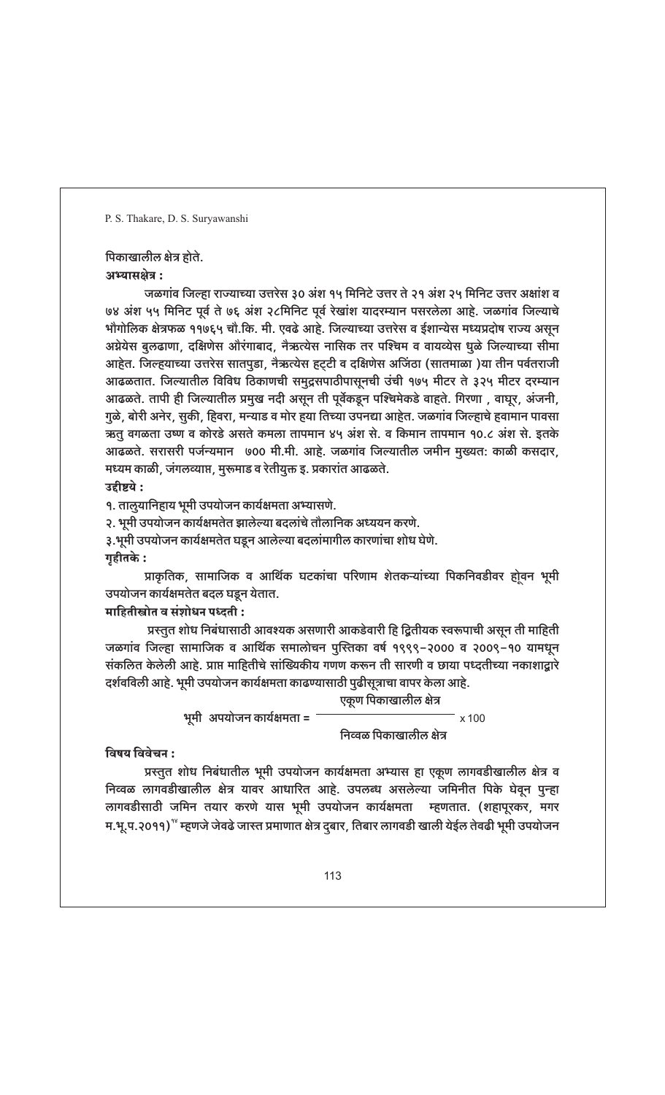# पिकाखालील क्षेत्र होते.

अभ्यासक्षेत्र:

जळगांव जिल्हा राज्याच्या उत्तरेस ३० अंश १५ मिनिटे उत्तर ते २१ अंश २५ मिनिट उत्तर अक्षांश व ७४ अंश ५५ मिनिट पूर्व ते ७६ अंश २८मिनिट पूर्व रेखांश यादरम्यान पसरलेला आहे. जळगांव जिल्याचे भौगोलिक क्षेत्रफळ ११७६५ चौ.कि. मी. एवढे आहे. जिल्याच्या उत्तरेस व ईशान्येस मध्यप्रदोष राज्य असून अग्नेयेस बुलढाणा, दक्षिणेस औरंगाबाद, नैऋत्येस नासिक तर पश्चिम व वायव्येस धूळे जिल्याच्या सीमा आहेत. जिल्हयाच्या उत्तरेस सातपुडा, नैऋत्येस हट्टी व दक्षिणेस अजिंठा (सातमाळा )या तीन पर्वतराजी आढळतात. जिल्यातील विविध ठिकाणची समुद्रसपाठीपासूनची उंची १७५ मीटर ते ३२५ मीटर दरम्यान आढळते. तापी ही जिल्यातील प्रमुख नदी असून ती पूर्वेकडून पश्चिमेकडे वाहते. गिरणा , वाघूर, अंजनी, गुळे, बोरी अनेर, सुकी, हिवरा, मन्याड व मोर हया तिच्या उपनद्या आहेत. जळगांव जिल्हाचे हवामान पावसा ऋतू वगळता उष्ण व कोरडे असते कमला तापमान ४५ अंश से. व किमान तापमान १०.८ अंश से. इतके आढळते. सरासरी पर्जन्यमान ७०० मी.मी. आहे. जळगांव जिल्यातील जमीन मुख्यत: काळी कसदार, मध्यम काळी, जंगलव्याप्त, मुरूमाड व रेतीयुक्त इ. प्रकारांत आढळते.

## उद्दीष्टये :

१. तालुयानिहाय भूमी उपयोजन कार्यक्षमता अभ्यासणे.

२. भूमी उपयोजन कार्यक्षमतेत झालेल्या बदलांचे तौलानिक अध्ययन करणे.

- ३.भूमी उपयोजन कार्यक्षमतेत घडून आलेल्या बदलांमागील कारणांचा शोध घेणे.
- गृहीतके :

प्राकृतिक, सामाजिक व आर्थिक घटकांचा परिणाम शेतकऱ्यांच्या पिकनिवडीवर होूवन भूमी उपयोजन कार्यक्षमतेत बदल घडून येतात.

# माहितीस्त्रोत व संशोधन पध्दती :

प्रस्तुत शोध निबंधासाठी आवश्यक असणारी आकडेवारी हि द्वितीयक स्वरूपाची असून ती माहिती जळगांव जिल्हा सामाजिक व आर्थिक समालोचन पुस्तिका वर्ष १९९९-२००० व २००९-१० यामधून संकलित केलेली आहे. प्राप्त माहितीचे सांख्यिकीय गणण करून ती सारणी व छाया पध्दतीच्या नकाशाद्वारे दर्शवविली आहे. भूमी उपयोजन कार्यक्षमता काढण्यासाठी पुढीसूत्राचा वापर केला आहे.

> एकूण पिकाखालील क्षेत्र भूमी अपयोजन कार्यक्षमता = ं x 100

निव्वळ पिकाखालील क्षेत्र

## विषय विवेचन :

प्रस्तुत शोध निबंधातील भूमी उपयोजन कार्यक्षमता अभ्यास हा एकूण लागवडीखालील क्षेत्र व निव्वळ लागवडीखालील क्षेत्र यावर आधारित आहे. उपलब्ध असलेल्या जमिनीत पिके घेवून पुन्हा लागवडीसाठी जमिन तयार करणे यास भूमी उपयोजन कार्यक्षमता म्हणतात. (शहापूरकर, मगर म.भू.प.२०११) ँ म्हणजे जेवढे जास्त प्रमाणात क्षेत्र दुबार, तिबार लागवडी खाली येईल तेवढी भूमी उपयोजन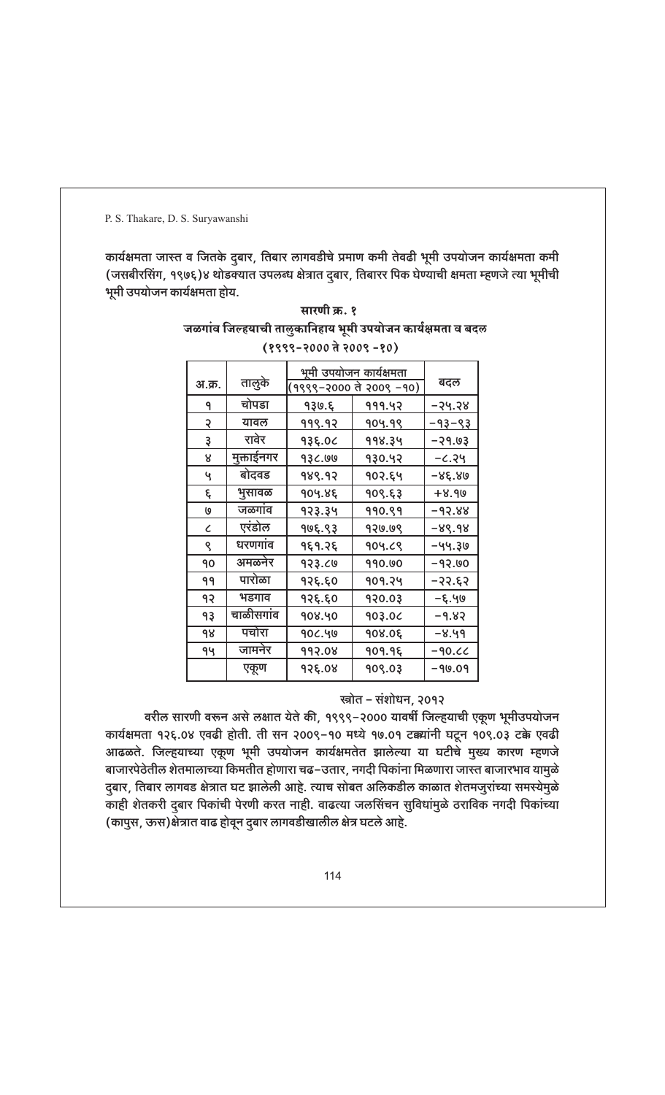कार्यक्षमता जास्त व जितके दुबार, तिबार लागवडीचे प्रमाण कमी तेवढी भूमी उपयोजन कार्यक्षमता कमी (जसबीरसिंग, १९७६)४ थोडक्यात उपलब्ध क्षेत्रात दुबार, तिबारर पिक घेण्याची क्षमता म्हणजे त्या भूमीची भूमी उपयोजन कार्यक्षमता होय.

| (१११२–१००० त १००१ –१०) |            |                                                    |        |               |  |  |  |  |  |
|------------------------|------------|----------------------------------------------------|--------|---------------|--|--|--|--|--|
| अ.क्र.                 | तालुके     | भूमी उपयोजन कार्यक्षमता<br>(१९९९–२००० ते २००९ –१०) | बदल    |               |  |  |  |  |  |
| ٩                      | चोपडा      | 930.६                                              | 999.42 | –२५.२४        |  |  |  |  |  |
| २                      | यावल       | <u>999.92</u>                                      | 904.99 | <u>-93-93</u> |  |  |  |  |  |
| ३                      | रावेर      | 93६.०८<br>998.34                                   |        | -39.03        |  |  |  |  |  |
| 8                      | मुक्ताईनगर | 93८.७७<br>930.42                                   |        | -८.२५         |  |  |  |  |  |
| Ч                      | बोदवड      | १४९.१२                                             | १०२.६५ | -8९.४७        |  |  |  |  |  |
| ξ                      | भुसावळ     | १०५.४६<br>909. 63                                  |        | +8.90         |  |  |  |  |  |
| O                      | जळगाव      | <u>923.34</u>                                      | 990.99 | -93.88        |  |  |  |  |  |
| $\mathcal{C}_{0}^{2}$  | एरंडोल     | १७६.९३                                             | 920.09 | -89.98        |  |  |  |  |  |
| ९                      | धरणगांव    | १६१.२६                                             | 904.69 | -44.30        |  |  |  |  |  |
| 90                     | अमळनेर     | 933.CO                                             | 990.00 | -93.00        |  |  |  |  |  |
| 99                     | पारोळा     | १२६.६०                                             | 909.24 | -35' È 5      |  |  |  |  |  |
| 93                     | भडगाव      | १२६.६०                                             | 920.03 | -६.५७         |  |  |  |  |  |
| 93                     | चाळीसगांव  | 908.40                                             | 903.0C | -9.83         |  |  |  |  |  |
| 98                     | पचोरा      | 90८.५७                                             | 908.0६ | -४.५१         |  |  |  |  |  |
| 94                     | जामनेर     | 992.08                                             | 909.9६ | $-90.00$      |  |  |  |  |  |
|                        | एकूण       | १२६.०४                                             | 909.03 | -90.09        |  |  |  |  |  |

सारणी क्र. १ जळगांव जिल्हयाची तालुकानिहाय भूमी उपयोजन कार्यक्षमता व बदल  $10000 - 2000 \pm 2000 - 001$ 

## स्त्रोत – संशोधन, २०१२

वरील सारणी वरून असे लक्षात येते की, १९९९-२000 यावर्षी जिल्हयाची एकूण भूमीउपयोजन कार्यक्षमता १२६.०४ एवढी होती. ती सन २००९-१० मध्ये १७.०१ टक्क्यांनी घटून १०९.०३ टक्के एवढी आढळते. जिल्हयाच्या एकूण भूमी उपयोजन कार्यक्षमतेत झालेल्या या घटीचे मुख्य कारण म्हणजे बाजारपेठेतील शेतमालाच्या किमतीत होणारा चढ–उतार, नगदी पिकांना मिळणारा जास्त बाजारभाव यामुळे दुबार, तिबार लागवड क्षेत्रात घट झालेली आहे. त्याच सोबत अलिकडील काळात शेतमजुरांच्या समस्येमुळे काही शेतकरी दुबार पिकांची पेरणी करत नाही. वाढत्या जलसिंचन सुविधांमुळे ठराविक नगदी पिकांच्या (कापुस, ऊस)क्षेत्रात वाढ होवून दुबार लागवडीखालील क्षेत्र घटले आहे.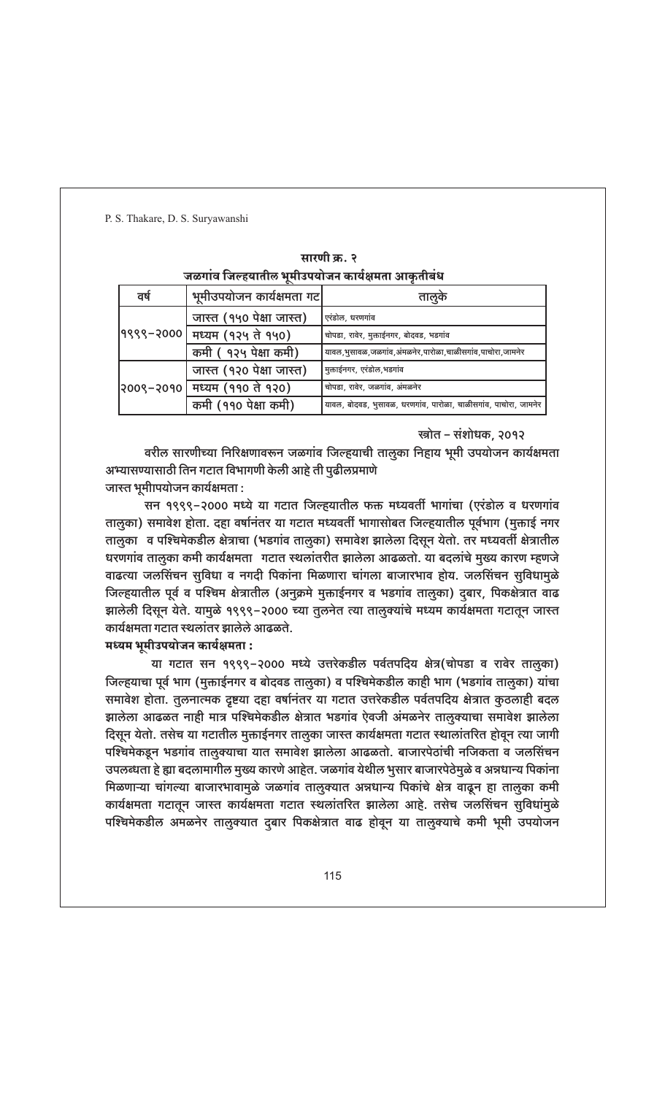| जळगांव जिल्हयातील भूमीउपयोजन कार्यक्षमता आकृतीबंध |                               |                                                                 |  |  |  |  |  |
|---------------------------------------------------|-------------------------------|-----------------------------------------------------------------|--|--|--|--|--|
| वर्ष                                              | भूमीउपयोजन कार्यक्षमता गट     | तालूके                                                          |  |  |  |  |  |
|                                                   | जास्त (१५० पेक्षा जास्त)      | एरंडोल, धरणगांव                                                 |  |  |  |  |  |
|                                                   | १९९९-२०००  मध्यम (१२५ ते १५०) | चोपडा, रावेर, मुक्ताईनगर, बोदवड, भडगांव                         |  |  |  |  |  |
|                                                   | कमी ( १२५ पेक्षा कमी)         | यावल,भुसावळ,जळगांव,अंमळनेर,पारोळा,चाळीसगांव,पाचोरा,जामनेर       |  |  |  |  |  |
| २००९–२०१०                                         | जास्त (१२० पेक्षा जास्त)      | मुक्ताईनगर, एरडोल,भडगांव                                        |  |  |  |  |  |
|                                                   | मध्यम (११० ते १२०)            | चोपडा, रावेर, जळगांव, अंमळनेर                                   |  |  |  |  |  |
|                                                   | कमी (११० पेक्षा कमी)          | यावल, बोदवड, भुसावळ, धरणगांव, पारोळा, चाळीसगांव, पाचोरा, जामनेर |  |  |  |  |  |

| सारणा क्र. २ |  |  |  |  |                                            |  |  |  |
|--------------|--|--|--|--|--------------------------------------------|--|--|--|
|              |  |  |  |  | व जिल्हयातील भमीउपयोजन कार्यक्षमता आकतीबंध |  |  |  |

स्त्रोत – संशोधक, २०१२

वरील सारणीच्या निरिक्षणावरून जळगांव जिल्हयाची तालुका निहाय भूमी उपयोजन कार्यक्षमता अभ्यासण्यासाठी तिन गटात विभागणी केली आहे ती पुढीलप्रमाणे जास्त भूमीापयोजन कार्यक्षमता :

सन १९९९-२००० मध्ये या गटात जिल्हयातील फक्त मध्यवर्ती भागांचा (एरंडोल व धरणगांव तालुका) समावेश होता. दहा वर्षानंतर या गटात मध्यवर्ती भागासोबत जिल्हयातील पूर्वभाग (मुक्ताई नगर तालूका व पश्चिमेकडील क्षेत्राचा (भडगांव तालूका) समावेश झालेला दिसून येतो. तर मध्यवर्ती क्षेत्रातील धरणगांव तालुका कमी कार्यक्षमता गटात स्थलांतरीत झालेला आढळतो. या बदलांचे मुख्य कारण म्हणजे वाढत्या जलसिंचन सुविधा व नगदी पिकांना मिळणारा चांगला बाजारभाव होय. जलसिंचन सुविधामुळे जिल्हयातील पूर्व व पश्चिम क्षेत्रातील (अनुक्रमे मुक्ताईनगर व भडगांव तालुका) दुबार, पिकक्षेत्रात वाढ झालेली दिसून येते. यामुळे १९९९-२००० च्या तुलनेत त्या तालुक्यांचे मध्यम कार्यक्षमता गटातून जास्त कार्यक्षमता गटात स्थलांतर झालेले आढळते.

मध्यम भूमीउपयोजन कार्यक्षमता :

या गटात सन १९९९–२००० मध्ये उत्तरेकडील पर्वतपदिय क्षेत्र(चोपडा व रावेर तालुका) जिल्हयाचा पूर्व भाग (मुक्ताईनगर व बोदवड तालूका) व पश्चिमेकडील काही भाग (भडगांव तालूका) यांचा समावेश होता. तुलनात्मक दृष्टया दहा वर्षानंतर या गटात उत्तरेकडील पर्वतपदिय क्षेत्रात कुठलाही बदल झालेला आढळत नाही मात्र पश्चिमेकडील क्षेत्रात भडगांव ऐवजी अंमळनेर तालुक्याचा समावेश झालेला दिसून येतो. तसेच या गटातील मुक्ताईनगर तालुका जास्त कार्यक्षमता गटात स्थालांतरित होवून त्या जागी पश्चिमेकडून भडगांव तालूक्याचा यात समावेश झालेला आढळतो. बाजारपेठांची नजिकता व जलसिंचन उपलब्धता हे ह्या बदलामागील मुख्य कारणे आहेत. जळगांव येथील भुसार बाजारपेठेमुळे व अन्नधान्य पिकांना मिळणाऱ्या चांगल्या बाजारभावामुळे जळगांव तालुक्यात अन्नधान्य पिकांचे क्षेत्र वाढून हा तालुका कमी कार्यक्षमता गटातून जास्त कार्यक्षमता गटात स्थलांतरित झालेला आहे. तसेच जलसिंचन सुविधांमुळे पश्चिमेकडील अमळनेर तालुक्यात दुबार पिकक्षेत्रात वाढ होवून या तालुक्याचे कमी भूमी उपयोजन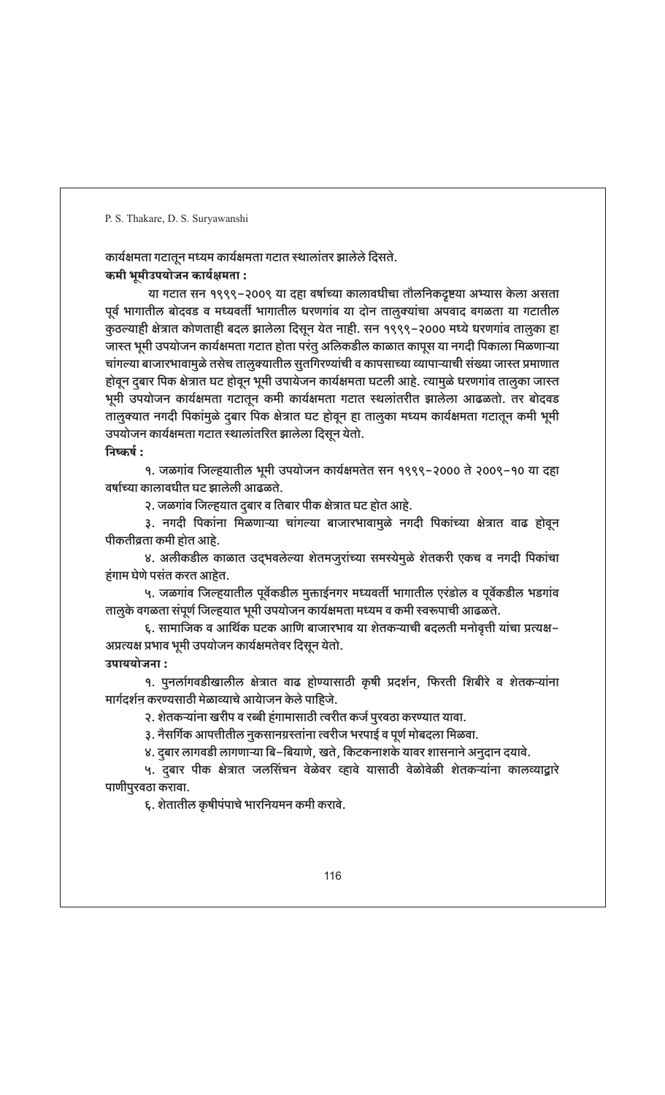कार्यक्षमता गटातून मध्यम कार्यक्षमता गटात स्थालांतर झालेले दिसते. कमी भूमीउपयोजन कार्यक्षमता :

या गटात सन १९९९–२००९ या दहा वर्षाच्या कालावधीचा तौलनिकदृष्टया अभ्यास केला असता पूर्व भागातील बोदवड व मध्यवर्ती भागातील धरणगांव या दोन तालुक्यांचा अपवाद वगळता या गटातील कुठल्याही क्षेत्रात कोणताही बदल झालेला दिसून येत नाही. सन १९९९-२००० मध्ये धरणगांव तालुका हा जास्त भूमी उपयोजन कार्यक्षमता गटात होता परंतु अलिकडील काळात कापूस या नगदी पिकाला मिळणाऱ्या चांगल्या बाजारभावामुळे तसेच तालुक्यातील सुतगिरण्यांची व कापसाच्या व्यापाऱ्याची संख्या जास्त प्रमाणात होवून दुबार पिक क्षेत्रात घट होवून भूमी उपायेजन कार्यक्षमता घटली आहे. त्यामुळे धरणगांव तालुका जास्त भूमी उपयोजन कार्यक्षमता गटातून कमी कार्यक्षमता गटात स्थलांतरीत झालेला आढळतो. तर बोदवड तालुक्यात नगदी पिकांमुळे दुबार पिक क्षेत्रात घट होवून हा तालुका मध्यम कार्यक्षमता गटातून कमी भूमी उपयोजन कार्यक्षमता गटात स्थालांतरित झालेला दिसून येतो. निष्कर्ष:

१. जळगांव जिल्हयातील भूमी उपयोजन कार्यक्षमतेत सन १९९९-२००० ते २००९-१० या दहा वर्षाच्या कालावधीत घट झालेली आढळते.

२. जळगांव जिल्हयात दुबार व तिबार पीक क्षेत्रात घट होत आहे.

३. नगदी पिकांना मिळणाऱ्या चांगल्या बाजारभावामुळे नगदी पिकांच्या क्षेत्रात वाढ होवून पीकतीव्रता कमी होत आहे.

४. अलीकडील काळात उद्भवलेल्या शेतमजुरांच्या समस्येमुळे शेतकरी एकच व नगदी पिकांचा हंगाम घेणे पसंत करत आहेत.

५. जळगांव जिल्हयातील पूर्वेकडील मुक्ताईनगर मध्यवर्ती भागातील एरंडोल व पूर्वेकडील भडगांव तालुके वगळता संपूर्ण जिल्हयात भूमी उपयोजन कार्यक्षमता मध्यम व कमी स्वरूपाची आढळते.

६. सामाजिक व आर्थिक घटक आणि बाजारभाव या शेतकऱ्याची बदलती मनोवृत्ती यांचा प्रत्यक्ष– अप्रत्यक्ष प्रभाव भूमी उपयोजन कार्यक्षमतेवर दिसून येतो. उपाययोजना :

१. पुनर्लागवडीखालील क्षेत्रात वाढ होण्यासाठी कृषी प्रदर्शन, फिरती शिबीरे व शेतकऱ्यांना मार्गदर्शन करण्यसाठी मेळाव्याचे आयेाजन केले पाहिजे.

२. शेतकऱ्यांना खरीप व रब्बी हंगामासाठी त्वरीत कर्ज पुरवठा करण्यात यावा.

३. नैसर्गिक आपत्तीतील नुकसानग्रस्तांना त्वरीज भरपाई व पूर्ण मोबदला मिळवा.

४. दुबार लागवडी लागणाऱ्या बि–बियाणे, खते, किटकनाशके यावर शासनाने अनुदान दयावे.

५. दुबार पीक क्षेत्रात जलसिंचन वेळेवर व्हावे यासाठी वेळोवेळी शेतकऱ्यांना कालव्याद्वारे पाणीपुरवठा करावा.

६. शेतातील कृषीपंपाचे भारनियमन कमी करावे.